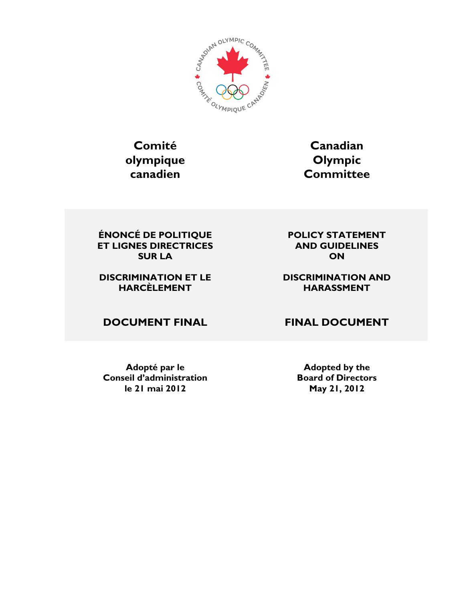

# **Comité olympique canadien**

**Canadian Olympic Committee**

**ÉNONCÉ DE POLITIQUE ET LIGNES DIRECTRICES SUR LA**

#### **DISCRIMINATION ET LE HARCÈLEMENT**

**DOCUMENT FINAL FINAL DOCUMENT**

**Adopté par le Conseil d'administration le 21 mai 2012**

**POLICY STATEMENT AND GUIDELINES ON**

#### **DISCRIMINATION AND HARASSMENT**

**Adopted by the Board of Directors May 21, 2012**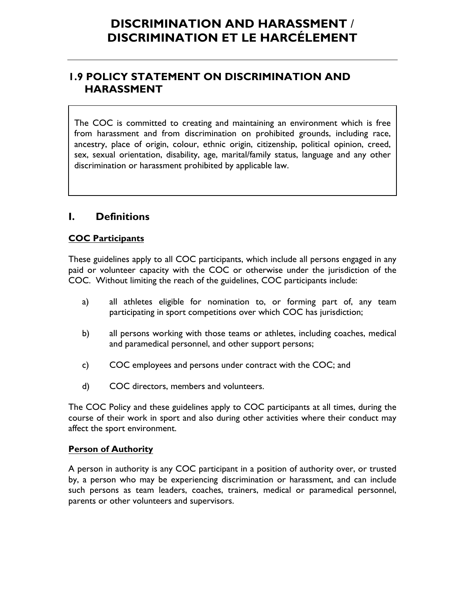### **1.9 POLICY STATEMENT ON DISCRIMINATION AND HARASSMENT**

The COC is committed to creating and maintaining an environment which is free from harassment and from discrimination on prohibited grounds, including race, ancestry, place of origin, colour, ethnic origin, citizenship, political opinion, creed, sex, sexual orientation, disability, age, marital/family status, language and any other discrimination or harassment prohibited by applicable law.

### **I. Definitions**

#### **COC Participants**

These guidelines apply to all COC participants, which include all persons engaged in any paid or volunteer capacity with the COC or otherwise under the jurisdiction of the COC. Without limiting the reach of the guidelines, COC participants include:

- a) all athletes eligible for nomination to, or forming part of, any team participating in sport competitions over which COC has jurisdiction;
- b) all persons working with those teams or athletes, including coaches, medical and paramedical personnel, and other support persons;
- c) COC employees and persons under contract with the COC; and
- d) COC directors, members and volunteers.

The COC Policy and these guidelines apply to COC participants at all times, during the course of their work in sport and also during other activities where their conduct may affect the sport environment.

#### **Person of Authority**

A person in authority is any COC participant in a position of authority over, or trusted by, a person who may be experiencing discrimination or harassment, and can include such persons as team leaders, coaches, trainers, medical or paramedical personnel, parents or other volunteers and supervisors.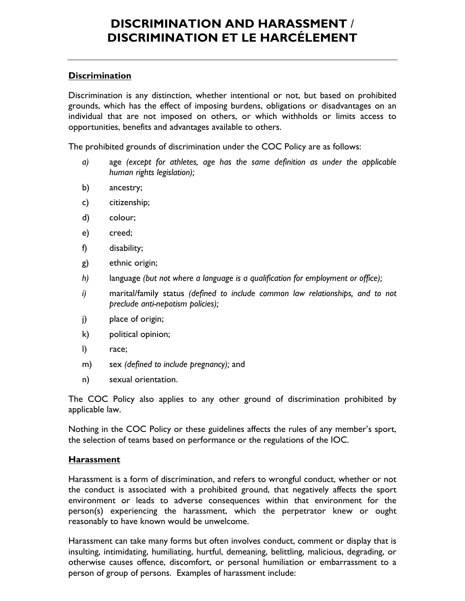#### **Discrimination**

Discrimination is any distinction, whether intentional or not, but based on prohibited grounds, which has the effect of imposing burdens, obligations or disadvantages on an individual that are not imposed on others, or which withholds or limits access to opportunities, benefits and advantages available to others.

The prohibited grounds of discrimination under the COC Policy are as follows:

- *a)* age *(except for athletes, age has the same definition as under the applicable human rights legislation);*
- b) ancestry;
- c) citizenship;
- d) colour;
- e) creed;
- f) disability;
- g) ethnic origin;
- *h)* language *(but not where a language is a qualification for employment or office);*
- *i)* marital/family status *(defined to include common law relationships, and to not preclude anti-nepotism policies);*
- j) place of origin;
- k) political opinion;
- l) race;
- m) sex *(defined to include pregnancy);* and
- n) sexual orientation.

The COC Policy also applies to any other ground of discrimination prohibited by applicable law.

Nothing in the COC Policy or these guidelines affects the rules of any member's sport, the selection of teams based on performance or the regulations of the IOC.

#### **Harassment**

Harassment is a form of discrimination, and refers to wrongful conduct, whether or not the conduct is associated with a prohibited ground, that negatively affects the sport environment or leads to adverse consequences within that environment for the person(s) experiencing the harassment, which the perpetrator knew or ought reasonably to have known would be unwelcome.

Harassment can take many forms but often involves conduct, comment or display that is insulting, intimidating, humiliating, hurtful, demeaning, belittling, malicious, degrading, or otherwise causes offence, discomfort, or personal humiliation or embarrassment to a person of group of persons. Examples of harassment include: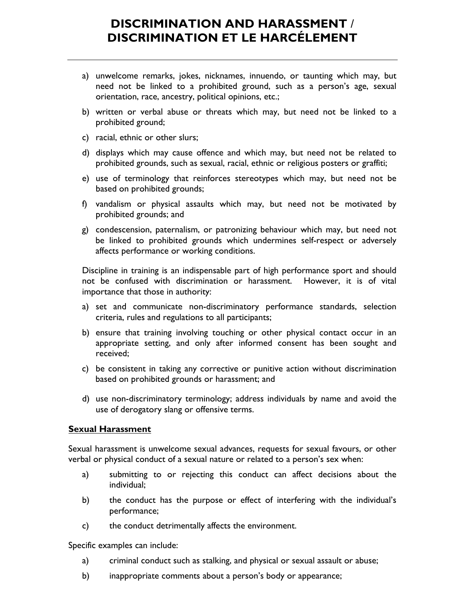- a) unwelcome remarks, jokes, nicknames, innuendo, or taunting which may, but need not be linked to a prohibited ground, such as a person's age, sexual orientation, race, ancestry, political opinions, etc.;
- b) written or verbal abuse or threats which may, but need not be linked to a prohibited ground;
- c) racial, ethnic or other slurs;
- d) displays which may cause offence and which may, but need not be related to prohibited grounds, such as sexual, racial, ethnic or religious posters or graffiti;
- e) use of terminology that reinforces stereotypes which may, but need not be based on prohibited grounds;
- f) vandalism or physical assaults which may, but need not be motivated by prohibited grounds; and
- g) condescension, paternalism, or patronizing behaviour which may, but need not be linked to prohibited grounds which undermines self-respect or adversely affects performance or working conditions.

Discipline in training is an indispensable part of high performance sport and should not be confused with discrimination or harassment. However, it is of vital importance that those in authority:

- a) set and communicate non-discriminatory performance standards, selection criteria, rules and regulations to all participants;
- b) ensure that training involving touching or other physical contact occur in an appropriate setting, and only after informed consent has been sought and received;
- c) be consistent in taking any corrective or punitive action without discrimination based on prohibited grounds or harassment; and
- d) use non-discriminatory terminology; address individuals by name and avoid the use of derogatory slang or offensive terms.

#### **Sexual Harassment**

Sexual harassment is unwelcome sexual advances, requests for sexual favours, or other verbal or physical conduct of a sexual nature or related to a person's sex when:

- a) submitting to or rejecting this conduct can affect decisions about the individual;
- b) the conduct has the purpose or effect of interfering with the individual's performance;
- c) the conduct detrimentally affects the environment.

Specific examples can include:

- a) criminal conduct such as stalking, and physical or sexual assault or abuse;
- b) inappropriate comments about a person's body or appearance;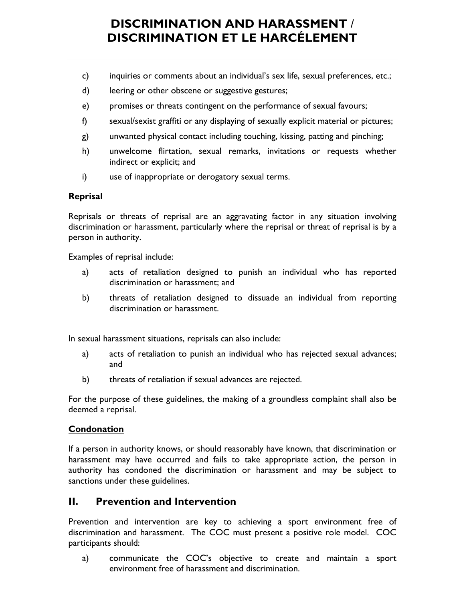- c) inquiries or comments about an individual's sex life, sexual preferences, etc.;
- d) leering or other obscene or suggestive gestures;
- e) promises or threats contingent on the performance of sexual favours;
- f) sexual/sexist graffiti or any displaying of sexually explicit material or pictures;
- g) unwanted physical contact including touching, kissing, patting and pinching;
- h) unwelcome flirtation, sexual remarks, invitations or requests whether indirect or explicit; and
- i) use of inappropriate or derogatory sexual terms.

#### **Reprisal**

Reprisals or threats of reprisal are an aggravating factor in any situation involving discrimination or harassment, particularly where the reprisal or threat of reprisal is by a person in authority.

Examples of reprisal include:

- a) acts of retaliation designed to punish an individual who has reported discrimination or harassment; and
- b) threats of retaliation designed to dissuade an individual from reporting discrimination or harassment.

In sexual harassment situations, reprisals can also include:

- a) acts of retaliation to punish an individual who has rejected sexual advances; and
- b) threats of retaliation if sexual advances are rejected.

For the purpose of these guidelines, the making of a groundless complaint shall also be deemed a reprisal.

#### **Condonation**

If a person in authority knows, or should reasonably have known, that discrimination or harassment may have occurred and fails to take appropriate action, the person in authority has condoned the discrimination or harassment and may be subject to sanctions under these guidelines.

### **II. Prevention and Intervention**

Prevention and intervention are key to achieving a sport environment free of discrimination and harassment. The COC must present a positive role model. COC participants should:

a) communicate the COC's objective to create and maintain a sport environment free of harassment and discrimination.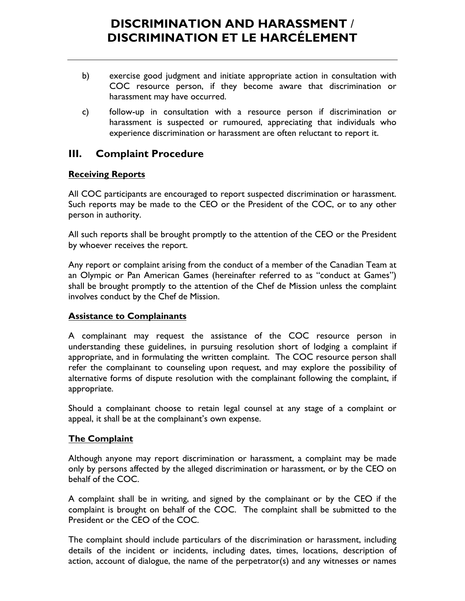- b) exercise good judgment and initiate appropriate action in consultation with COC resource person, if they become aware that discrimination or harassment may have occurred.
- c) follow-up in consultation with a resource person if discrimination or harassment is suspected or rumoured, appreciating that individuals who experience discrimination or harassment are often reluctant to report it.

### **III. Complaint Procedure**

#### **Receiving Reports**

All COC participants are encouraged to report suspected discrimination or harassment. Such reports may be made to the CEO or the President of the COC, or to any other person in authority.

All such reports shall be brought promptly to the attention of the CEO or the President by whoever receives the report.

Any report or complaint arising from the conduct of a member of the Canadian Team at an Olympic or Pan American Games (hereinafter referred to as "conduct at Games") shall be brought promptly to the attention of the Chef de Mission unless the complaint involves conduct by the Chef de Mission.

#### **Assistance to Complainants**

A complainant may request the assistance of the COC resource person in understanding these guidelines, in pursuing resolution short of lodging a complaint if appropriate, and in formulating the written complaint. The COC resource person shall refer the complainant to counseling upon request, and may explore the possibility of alternative forms of dispute resolution with the complainant following the complaint, if appropriate.

Should a complainant choose to retain legal counsel at any stage of a complaint or appeal, it shall be at the complainant's own expense.

#### **The Complaint**

Although anyone may report discrimination or harassment, a complaint may be made only by persons affected by the alleged discrimination or harassment, or by the CEO on behalf of the COC.

A complaint shall be in writing, and signed by the complainant or by the CEO if the complaint is brought on behalf of the COC. The complaint shall be submitted to the President or the CEO of the COC.

The complaint should include particulars of the discrimination or harassment, including details of the incident or incidents, including dates, times, locations, description of action, account of dialogue, the name of the perpetrator(s) and any witnesses or names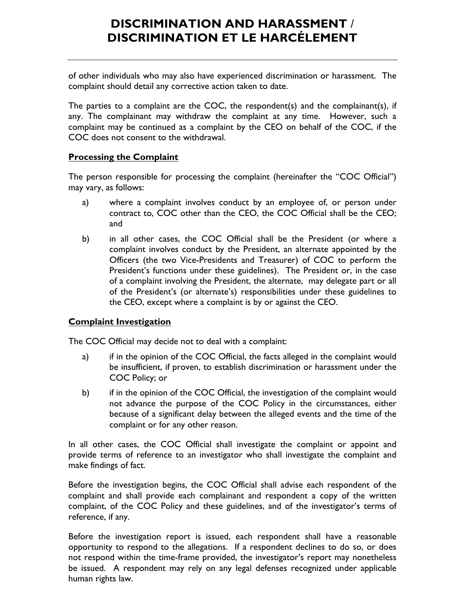of other individuals who may also have experienced discrimination or harassment. The complaint should detail any corrective action taken to date.

The parties to a complaint are the COC, the respondent(s) and the complainant(s), if any. The complainant may withdraw the complaint at any time. However, such a complaint may be continued as a complaint by the CEO on behalf of the COC, if the COC does not consent to the withdrawal.

#### **Processing the Complaint**

The person responsible for processing the complaint (hereinafter the "COC Official") may vary, as follows:

- a) where a complaint involves conduct by an employee of, or person under contract to, COC other than the CEO, the COC Official shall be the CEO; and
- b) in all other cases, the COC Official shall be the President (or where a complaint involves conduct by the President, an alternate appointed by the Officers (the two Vice-Presidents and Treasurer) of COC to perform the President's functions under these guidelines). The President or, in the case of a complaint involving the President, the alternate, may delegate part or all of the President's (or alternate's) responsibilities under these guidelines to the CEO, except where a complaint is by or against the CEO.

#### **Complaint Investigation**

The COC Official may decide not to deal with a complaint:

- a) if in the opinion of the COC Official, the facts alleged in the complaint would be insufficient, if proven, to establish discrimination or harassment under the COC Policy; or
- b) if in the opinion of the COC Official, the investigation of the complaint would not advance the purpose of the COC Policy in the circumstances, either because of a significant delay between the alleged events and the time of the complaint or for any other reason.

In all other cases, the COC Official shall investigate the complaint or appoint and provide terms of reference to an investigator who shall investigate the complaint and make findings of fact.

Before the investigation begins, the COC Official shall advise each respondent of the complaint and shall provide each complainant and respondent a copy of the written complaint, of the COC Policy and these guidelines, and of the investigator's terms of reference, if any.

Before the investigation report is issued, each respondent shall have a reasonable opportunity to respond to the allegations. If a respondent declines to do so, or does not respond within the time-frame provided, the investigator's report may nonetheless be issued. A respondent may rely on any legal defenses recognized under applicable human rights law.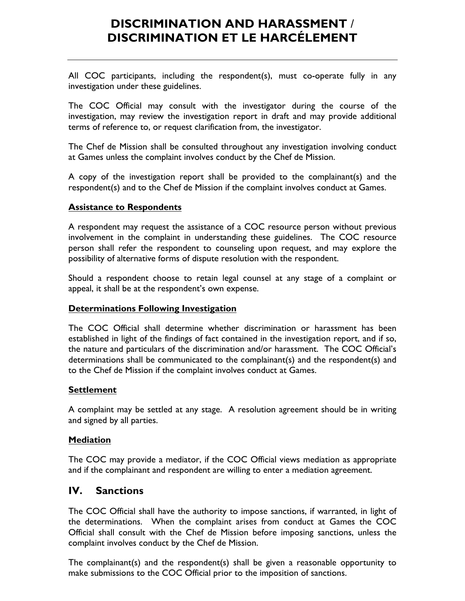All COC participants, including the respondent(s), must co-operate fully in any investigation under these guidelines.

The COC Official may consult with the investigator during the course of the investigation, may review the investigation report in draft and may provide additional terms of reference to, or request clarification from, the investigator.

The Chef de Mission shall be consulted throughout any investigation involving conduct at Games unless the complaint involves conduct by the Chef de Mission.

A copy of the investigation report shall be provided to the complainant(s) and the respondent(s) and to the Chef de Mission if the complaint involves conduct at Games.

#### **Assistance to Respondents**

A respondent may request the assistance of a COC resource person without previous involvement in the complaint in understanding these guidelines. The COC resource person shall refer the respondent to counseling upon request, and may explore the possibility of alternative forms of dispute resolution with the respondent.

Should a respondent choose to retain legal counsel at any stage of a complaint or appeal, it shall be at the respondent's own expense.

#### **Determinations Following Investigation**

The COC Official shall determine whether discrimination or harassment has been established in light of the findings of fact contained in the investigation report, and if so, the nature and particulars of the discrimination and/or harassment. The COC Official's determinations shall be communicated to the complainant(s) and the respondent(s) and to the Chef de Mission if the complaint involves conduct at Games.

#### **Settlement**

A complaint may be settled at any stage. A resolution agreement should be in writing and signed by all parties.

#### **Mediation**

The COC may provide a mediator, if the COC Official views mediation as appropriate and if the complainant and respondent are willing to enter a mediation agreement.

#### **IV. Sanctions**

The COC Official shall have the authority to impose sanctions, if warranted, in light of the determinations. When the complaint arises from conduct at Games the COC Official shall consult with the Chef de Mission before imposing sanctions, unless the complaint involves conduct by the Chef de Mission.

The complainant(s) and the respondent(s) shall be given a reasonable opportunity to make submissions to the COC Official prior to the imposition of sanctions.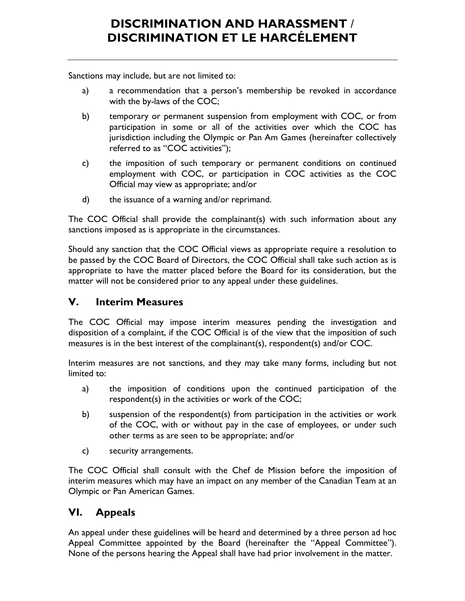Sanctions may include, but are not limited to:

- a) a recommendation that a person's membership be revoked in accordance with the by-laws of the COC;
- b) temporary or permanent suspension from employment with COC, or from participation in some or all of the activities over which the COC has jurisdiction including the Olympic or Pan Am Games (hereinafter collectively referred to as "COC activities");
- c) the imposition of such temporary or permanent conditions on continued employment with COC, or participation in COC activities as the COC Official may view as appropriate; and/or
- d) the issuance of a warning and/or reprimand.

The COC Official shall provide the complainant(s) with such information about any sanctions imposed as is appropriate in the circumstances.

Should any sanction that the COC Official views as appropriate require a resolution to be passed by the COC Board of Directors, the COC Official shall take such action as is appropriate to have the matter placed before the Board for its consideration, but the matter will not be considered prior to any appeal under these guidelines.

### **V. Interim Measures**

The COC Official may impose interim measures pending the investigation and disposition of a complaint, if the COC Official is of the view that the imposition of such measures is in the best interest of the complainant(s), respondent(s) and/or COC.

Interim measures are not sanctions, and they may take many forms, including but not limited to:

- a) the imposition of conditions upon the continued participation of the respondent(s) in the activities or work of the COC;
- b) suspension of the respondent(s) from participation in the activities or work of the COC, with or without pay in the case of employees, or under such other terms as are seen to be appropriate; and/or
- c) security arrangements.

The COC Official shall consult with the Chef de Mission before the imposition of interim measures which may have an impact on any member of the Canadian Team at an Olympic or Pan American Games.

### **VI. Appeals**

An appeal under these guidelines will be heard and determined by a three person ad hoc Appeal Committee appointed by the Board (hereinafter the "Appeal Committee"). None of the persons hearing the Appeal shall have had prior involvement in the matter.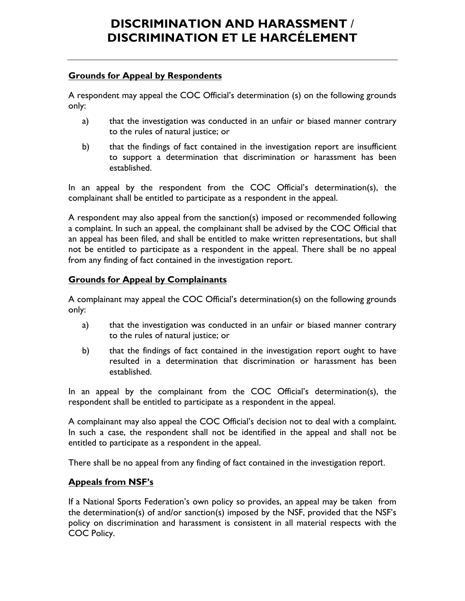#### **Grounds for Appeal by Respondents**

A respondent may appeal the COC Official's determination (s) on the following grounds only:

- a) that the investigation was conducted in an unfair or biased manner contrary to the rules of natural justice; or
- b) that the findings of fact contained in the investigation report are insufficient to support a determination that discrimination or harassment has been established.

In an appeal by the respondent from the COC Official's determination(s), the complainant shall be entitled to participate as a respondent in the appeal.

A respondent may also appeal from the sanction(s) imposed or recommended following a complaint. In such an appeal, the complainant shall be advised by the COC Official that an appeal has been filed, and shall be entitled to make written representations, but shall not be entitled to participate as a respondent in the appeal. There shall be no appeal from any finding of fact contained in the investigation report.

#### **Grounds for Appeal by Complainants**

A complainant may appeal the COC Official's determination(s) on the following grounds only:

- a) that the investigation was conducted in an unfair or biased manner contrary to the rules of natural justice; or
- b) that the findings of fact contained in the investigation report ought to have resulted in a determination that discrimination or harassment has been established.

In an appeal by the complainant from the COC Official's determination(s), the respondent shall be entitled to participate as a respondent in the appeal.

A complainant may also appeal the COC Official's decision not to deal with a complaint. In such a case, the respondent shall not be identified in the appeal and shall not be entitled to participate as a respondent in the appeal.

There shall be no appeal from any finding of fact contained in the investigation report.

#### **Appeals from NSF's**

If a National Sports Federation's own policy so provides, an appeal may be taken from the determination(s) of and/or sanction(s) imposed by the NSF, provided that the NSF's policy on discrimination and harassment is consistent in all material respects with the COC Policy.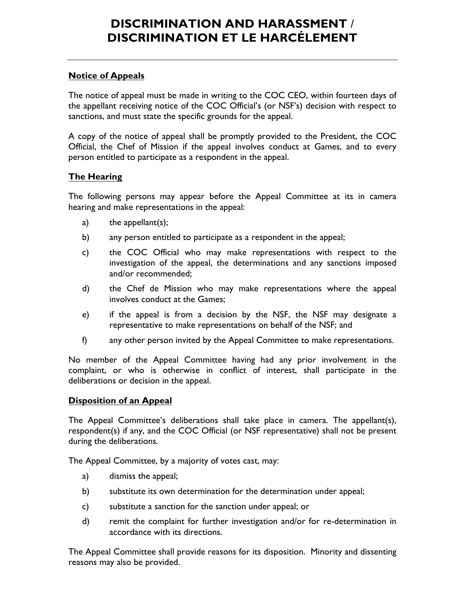#### **Notice of Appeals**

The notice of appeal must be made in writing to the COC CEO, within fourteen days of the appellant receiving notice of the COC Official's (or NSF's) decision with respect to sanctions, and must state the specific grounds for the appeal.

A copy of the notice of appeal shall be promptly provided to the President, the COC Official, the Chef of Mission if the appeal involves conduct at Games, and to every person entitled to participate as a respondent in the appeal.

#### **The Hearing**

The following persons may appear before the Appeal Committee at its in camera hearing and make representations in the appeal:

- a) the appellant(s);
- b) any person entitled to participate as a respondent in the appeal;
- c) the COC Official who may make representations with respect to the investigation of the appeal, the determinations and any sanctions imposed and/or recommended;
- d) the Chef de Mission who may make representations where the appeal involves conduct at the Games;
- e) if the appeal is from a decision by the NSF, the NSF may designate a representative to make representations on behalf of the NSF; and
- f) any other person invited by the Appeal Committee to make representations.

No member of the Appeal Committee having had any prior involvement in the complaint, or who is otherwise in conflict of interest, shall participate in the deliberations or decision in the appeal.

#### **Disposition of an Appeal**

The Appeal Committee's deliberations shall take place in camera. The appellant(s), respondent(s) if any, and the COC Official (or NSF representative) shall not be present during the deliberations.

The Appeal Committee, by a majority of votes cast, may:

- a) dismiss the appeal;
- b) substitute its own determination for the determination under appeal;
- c) substitute a sanction for the sanction under appeal; or
- d) remit the complaint for further investigation and/or for re-determination in accordance with its directions.

The Appeal Committee shall provide reasons for its disposition. Minority and dissenting reasons may also be provided.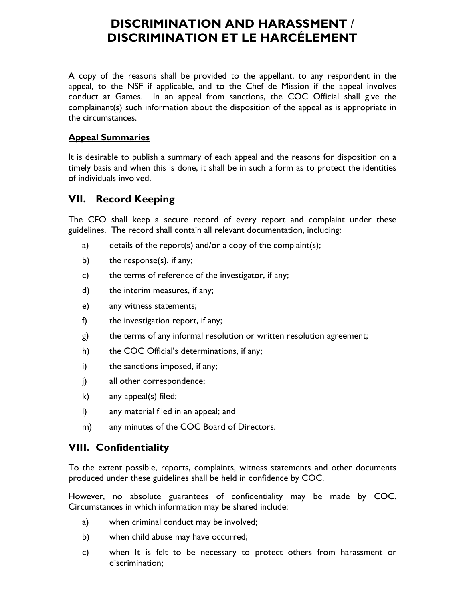A copy of the reasons shall be provided to the appellant, to any respondent in the appeal, to the NSF if applicable, and to the Chef de Mission if the appeal involves conduct at Games. In an appeal from sanctions, the COC Official shall give the complainant(s) such information about the disposition of the appeal as is appropriate in the circumstances.

#### **Appeal Summaries**

It is desirable to publish a summary of each appeal and the reasons for disposition on a timely basis and when this is done, it shall be in such a form as to protect the identities of individuals involved.

### **VII. Record Keeping**

The CEO shall keep a secure record of every report and complaint under these guidelines. The record shall contain all relevant documentation, including:

- a) details of the report(s) and/or a copy of the complaint(s);
- b) the response(s), if any;
- c) the terms of reference of the investigator, if any;
- d) the interim measures, if any;
- e) any witness statements;
- f) the investigation report, if any;
- g) the terms of any informal resolution or written resolution agreement;
- h) the COC Official's determinations, if any;
- i) the sanctions imposed, if any;
- j) all other correspondence;
- k) any appeal(s) filed;
- l) any material filed in an appeal; and
- m) any minutes of the COC Board of Directors.

### **VIII. Confidentiality**

To the extent possible, reports, complaints, witness statements and other documents produced under these guidelines shall be held in confidence by COC.

However, no absolute guarantees of confidentiality may be made by COC. Circumstances in which information may be shared include:

- a) when criminal conduct may be involved;
- b) when child abuse may have occurred;
- c) when It is felt to be necessary to protect others from harassment or discrimination;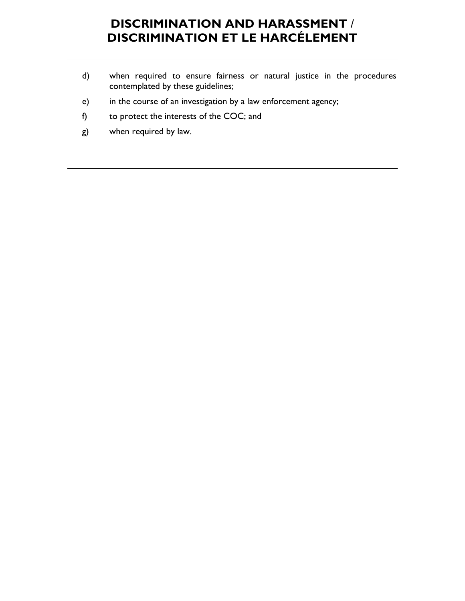- d) when required to ensure fairness or natural justice in the procedures contemplated by these guidelines;
- e) in the course of an investigation by a law enforcement agency;
- f) to protect the interests of the COC; and
- g) when required by law.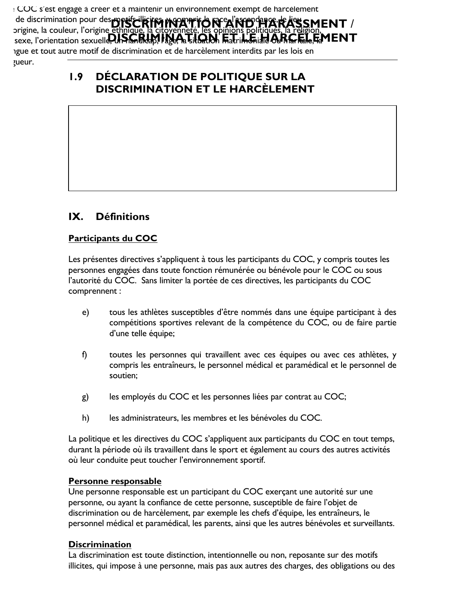de discrimination pour des motifs illicites, women if **our existence of des company of the set of the set of the set of the set of the set of the set of the set of the set of the set of the set of the set of the set of the DISCRIMINATION ET LE SECONDE DE LA SIGNE DE LA SITUATION ET LA SIGNATURA PROFETE DE LA SITUATION DE LA SIGNATUR** Le COC s'est engagé à créer et à maintenir un environnement exempt de harcèlement origine, la couleur, l'origine ethnique igue et tout autre motif de discrimination et de harcèlement interdits par les lois en zueur.

## **1.9 DÉCLARATION DE POLITIQUE SUR LA DISCRIMINATION ET LE HARCÈLEMENT**

### **IX. Définitions**

#### **Participants du COC**

Les présentes directives s'appliquent à tous les participants du COC, y compris toutes les personnes engagées dans toute fonction rémunérée ou bénévole pour le COC ou sous l'autorité du COC. Sans limiter la portée de ces directives, les participants du COC comprennent :

- e) tous les athlètes susceptibles d'être nommés dans une équipe participant à des compétitions sportives relevant de la compétence du COC, ou de faire partie d'une telle équipe;
- f) toutes les personnes qui travaillent avec ces équipes ou avec ces athlètes, y compris les entraîneurs, le personnel médical et paramédical et le personnel de soutien;
- g) les employés du COC et les personnes liées par contrat au COC;
- h) les administrateurs, les membres et les bénévoles du COC.

La politique et les directives du COC s'appliquent aux participants du COC en tout temps, durant la période où ils travaillent dans le sport et également au cours des autres activités où leur conduite peut toucher l'environnement sportif.

#### **Personne responsable**

Une personne responsable est un participant du COC exerçant une autorité sur une personne, ou ayant la confiance de cette personne, susceptible de faire l'objet de discrimination ou de harcèlement, par exemple les chefs d'équipe, les entraîneurs, le personnel médical et paramédical, les parents, ainsi que les autres bénévoles et surveillants.

#### **Discrimination**

La discrimination est toute distinction, intentionnelle ou non, reposante sur des motifs illicites, qui impose à une personne, mais pas aux autres des charges, des obligations ou des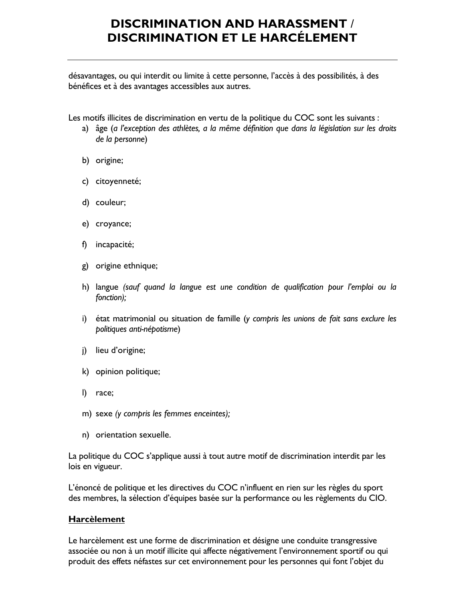désavantages, ou qui interdit ou limite à cette personne, l'accès à des possibilités, à des bénéfices et à des avantages accessibles aux autres.

Les motifs illicites de discrimination en vertu de la politique du COC sont les suivants :

- a) âge (*a l'exception des athlètes, a la même définition que dans la législation sur les droits de la personne*)
- b) origine;
- c) citoyenneté;
- d) couleur;
- e) croyance;
- f) incapacité;
- g) origine ethnique;
- h) langue *(sauf quand la langue est une condition de qualification pour l'emploi ou la fonction);*
- i) état matrimonial ou situation de famille (*y compris les unions de fait sans exclure les politiques anti-népotisme*)
- j) lieu d'origine;
- k) opinion politique;
- l) race;
- m) sexe *(y compris les femmes enceintes);*
- n) orientation sexuelle.

La politique du COC s'applique aussi à tout autre motif de discrimination interdit par les lois en vigueur.

L'énoncé de politique et les directives du COC n'influent en rien sur les règles du sport des membres, la sélection d'équipes basée sur la performance ou les règlements du CIO.

#### **Harcèlement**

Le harcèlement est une forme de discrimination et désigne une conduite transgressive associée ou non à un motif illicite qui affecte négativement l'environnement sportif ou qui produit des effets néfastes sur cet environnement pour les personnes qui font l'objet du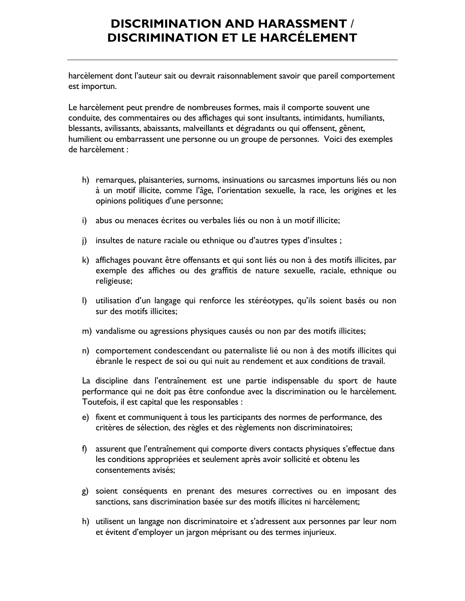harcèlement dont l'auteur sait ou devrait raisonnablement savoir que pareil comportement est importun.

Le harcèlement peut prendre de nombreuses formes, mais il comporte souvent une conduite, des commentaires ou des affichages qui sont insultants, intimidants, humiliants, blessants, avilissants, abaissants, malveillants et dégradants ou qui offensent, gênent, humilient ou embarrassent une personne ou un groupe de personnes. Voici des exemples de harcèlement :

- h) remarques, plaisanteries, surnoms, insinuations ou sarcasmes importuns liés ou non à un motif illicite, comme l'âge, l'orientation sexuelle, la race, les origines et les opinions politiques d'une personne;
- i) abus ou menaces écrites ou verbales liés ou non à un motif illicite;
- j) insultes de nature raciale ou ethnique ou d'autres types d'insultes ;
- k) affichages pouvant être offensants et qui sont liés ou non à des motifs illicites, par exemple des affiches ou des graffitis de nature sexuelle, raciale, ethnique ou religieuse;
- l) utilisation d'un langage qui renforce les stéréotypes, qu'ils soient basés ou non sur des motifs illicites;
- m) vandalisme ou agressions physiques causés ou non par des motifs illicites;
- n) comportement condescendant ou paternaliste lié ou non à des motifs illicites qui ébranle le respect de soi ou qui nuit au rendement et aux conditions de travail.

La discipline dans l'entraînement est une partie indispensable du sport de haute performance qui ne doit pas être confondue avec la discrimination ou le harcèlement. Toutefois, il est capital que les responsables :

- e) fixent et communiquent à tous les participants des normes de performance, des critères de sélection, des règles et des règlements non discriminatoires;
- f) assurent que l'entraînement qui comporte divers contacts physiques s'effectue dans les conditions appropriées et seulement après avoir sollicité et obtenu les consentements avisés;
- g) soient conséquents en prenant des mesures correctives ou en imposant des sanctions, sans discrimination basée sur des motifs illicites ni harcèlement;
- h) utilisent un langage non discriminatoire et s'adressent aux personnes par leur nom et évitent d'employer un jargon méprisant ou des termes injurieux.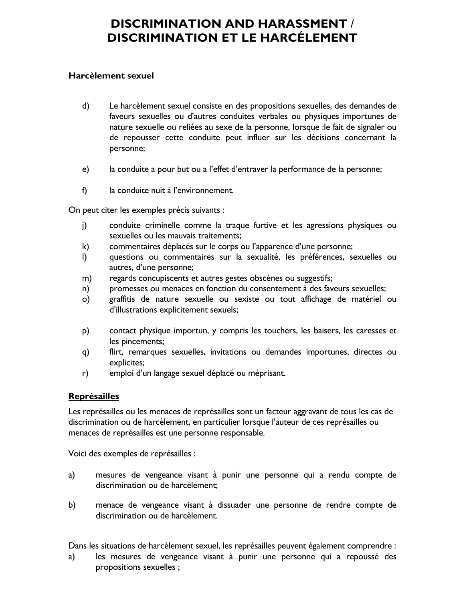#### **Harcèlement sexuel**

- d) Le harcèlement sexuel consiste en des propositions sexuelles, des demandes de faveurs sexuelles ou d'autres conduites verbales ou physiques importunes de nature sexuelle ou reliées au sexe de la personne, lorsque :le fait de signaler ou de repousser cette conduite peut influer sur les décisions concernant la personne;
- e) la conduite a pour but ou a l'effet d'entraver la performance de la personne;
- f) la conduite nuit à l'environnement.

On peut citer les exemples précis suivants :

- j) conduite criminelle comme la traque furtive et les agressions physiques ou sexuelles ou les mauvais traitements;
- k) commentaires déplacés sur le corps ou l'apparence d'une personne;
- l) questions ou commentaires sur la sexualité, les préférences, sexuelles ou autres, d'une personne;
- m) regards concupiscents et autres gestes obscènes ou suggestifs;
- n) promesses ou menaces en fonction du consentement à des faveurs sexuelles;
- o) graffitis de nature sexuelle ou sexiste ou tout affichage de matériel ou d'illustrations explicitement sexuels;
- p) contact physique importun, y compris les touchers, les baisers, les caresses et les pincements;
- q) flirt, remarques sexuelles, invitations ou demandes importunes, directes ou explicites;
- r) emploi d'un langage sexuel déplacé ou méprisant.

#### **Représailles**

Les représailles ou les menaces de représailles sont un facteur aggravant de tous les cas de discrimination ou de harcèlement, en particulier lorsque l'auteur de ces représailles ou menaces de représailles est une personne responsable.

Voici des exemples de représailles :

- a) mesures de vengeance visant à punir une personne qui a rendu compte de discrimination ou de harcèlement;
- b) menace de vengeance visant à dissuader une personne de rendre compte de discrimination ou de harcèlement.

Dans les situations de harcèlement sexuel, les représailles peuvent également comprendre :

a) les mesures de vengeance visant à punir une personne qui a repoussé des propositions sexuelles ;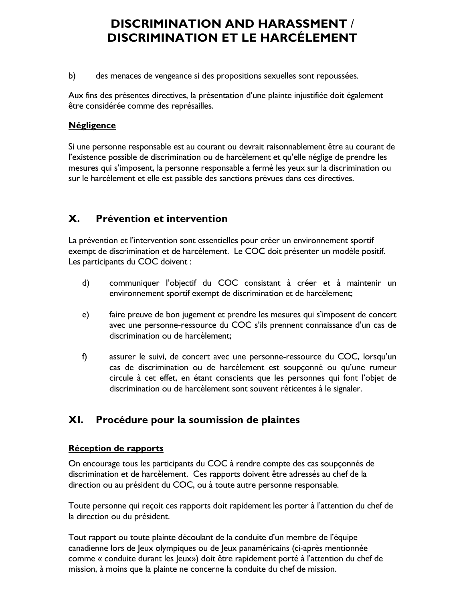b) des menaces de vengeance si des propositions sexuelles sont repoussées.

Aux fins des présentes directives, la présentation d'une plainte injustifiée doit également être considérée comme des représailles.

#### **Négligence**

Si une personne responsable est au courant ou devrait raisonnablement être au courant de l'existence possible de discrimination ou de harcèlement et qu'elle néglige de prendre les mesures qui s'imposent, la personne responsable a fermé les yeux sur la discrimination ou sur le harcèlement et elle est passible des sanctions prévues dans ces directives.

### **X. Prévention et intervention**

La prévention et l'intervention sont essentielles pour créer un environnement sportif exempt de discrimination et de harcèlement. Le COC doit présenter un modèle positif. Les participants du COC doivent :

- d) communiquer l'objectif du COC consistant à créer et à maintenir un environnement sportif exempt de discrimination et de harcèlement;
- e) faire preuve de bon jugement et prendre les mesures qui s'imposent de concert avec une personne-ressource du COC s'ils prennent connaissance d'un cas de discrimination ou de harcèlement;
- f) assurer le suivi, de concert avec une personne-ressource du COC, lorsqu'un cas de discrimination ou de harcèlement est soupçonné ou qu'une rumeur circule à cet effet, en étant conscients que les personnes qui font l'objet de discrimination ou de harcèlement sont souvent réticentes à le signaler.

### **XI. Procédure pour la soumission de plaintes**

#### **Réception de rapports**

On encourage tous les participants du COC à rendre compte des cas soupçonnés de discrimination et de harcèlement. Ces rapports doivent être adressés au chef de la direction ou au président du COC, ou à toute autre personne responsable.

Toute personne qui reçoit ces rapports doit rapidement les porter à l'attention du chef de la direction ou du président.

Tout rapport ou toute plainte découlant de la conduite d'un membre de l'équipe canadienne lors de Jeux olympiques ou de Jeux panaméricains (ci-après mentionnée comme « conduite durant les Jeux») doit être rapidement porté à l'attention du chef de mission, à moins que la plainte ne concerne la conduite du chef de mission.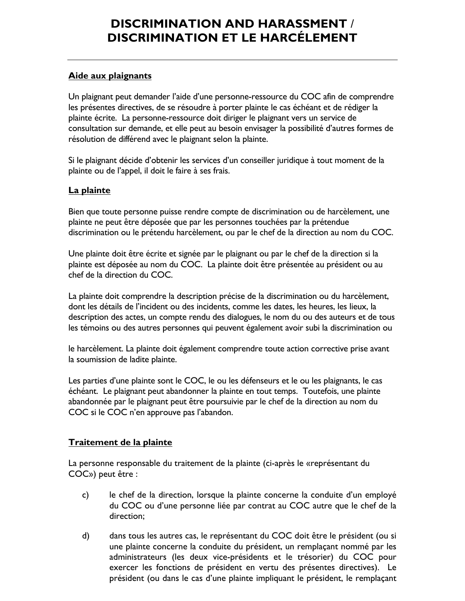#### **Aide aux plaignants**

Un plaignant peut demander l'aide d'une personne-ressource du COC afin de comprendre les présentes directives, de se résoudre à porter plainte le cas échéant et de rédiger la plainte écrite. La personne-ressource doit diriger le plaignant vers un service de consultation sur demande, et elle peut au besoin envisager la possibilité d'autres formes de résolution de différend avec le plaignant selon la plainte.

Si le plaignant décide d'obtenir les services d'un conseiller juridique à tout moment de la plainte ou de l'appel, il doit le faire à ses frais.

#### **La plainte**

Bien que toute personne puisse rendre compte de discrimination ou de harcèlement, une plainte ne peut être déposée que par les personnes touchées par la prétendue discrimination ou le prétendu harcèlement, ou par le chef de la direction au nom du COC.

Une plainte doit être écrite et signée par le plaignant ou par le chef de la direction si la plainte est déposée au nom du COC. La plainte doit être présentée au président ou au chef de la direction du COC.

La plainte doit comprendre la description précise de la discrimination ou du harcèlement, dont les détails de l'incident ou des incidents, comme les dates, les heures, les lieux, la description des actes, un compte rendu des dialogues, le nom du ou des auteurs et de tous les témoins ou des autres personnes qui peuvent également avoir subi la discrimination ou

le harcèlement. La plainte doit également comprendre toute action corrective prise avant la soumission de ladite plainte.

Les parties d'une plainte sont le COC, le ou les défenseurs et le ou les plaignants, le cas échéant. Le plaignant peut abandonner la plainte en tout temps. Toutefois, une plainte abandonnée par le plaignant peut être poursuivie par le chef de la direction au nom du COC si le COC n'en approuve pas l'abandon.

#### **Traitement de la plainte**

La personne responsable du traitement de la plainte (ci-après le «représentant du COC») peut être :

- c) le chef de la direction, lorsque la plainte concerne la conduite d'un employé du COC ou d'une personne liée par contrat au COC autre que le chef de la direction;
- d) dans tous les autres cas, le représentant du COC doit être le président (ou si une plainte concerne la conduite du président, un remplaçant nommé par les administrateurs (les deux vice-présidents et le trésorier) du COC pour exercer les fonctions de président en vertu des présentes directives). Le président (ou dans le cas d'une plainte impliquant le président, le remplaçant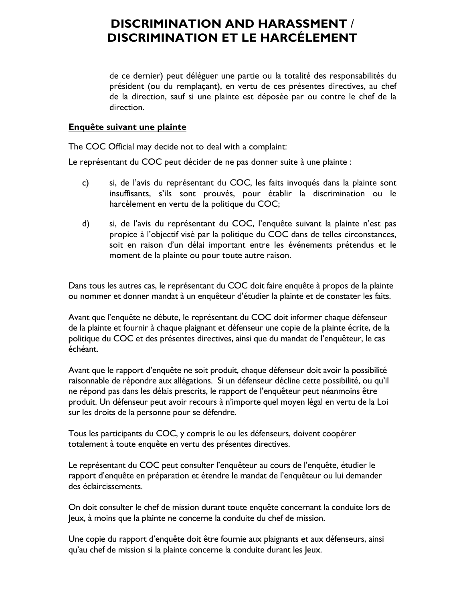de ce dernier) peut déléguer une partie ou la totalité des responsabilités du président (ou du remplaçant), en vertu de ces présentes directives, au chef de la direction, sauf si une plainte est déposée par ou contre le chef de la direction.

#### **Enquête suivant une plainte**

The COC Official may decide not to deal with a complaint:

Le représentant du COC peut décider de ne pas donner suite à une plainte :

- c) si, de l'avis du représentant du COC, les faits invoqués dans la plainte sont insuffisants, s'ils sont prouvés, pour établir la discrimination ou le harcèlement en vertu de la politique du COC;
- d) si, de l'avis du représentant du COC, l'enquête suivant la plainte n'est pas propice à l'objectif visé par la politique du COC dans de telles circonstances, soit en raison d'un délai important entre les événements prétendus et le moment de la plainte ou pour toute autre raison.

Dans tous les autres cas, le représentant du COC doit faire enquête à propos de la plainte ou nommer et donner mandat à un enquêteur d'étudier la plainte et de constater les faits.

Avant que l'enquête ne débute, le représentant du COC doit informer chaque défenseur de la plainte et fournir à chaque plaignant et défenseur une copie de la plainte écrite, de la politique du COC et des présentes directives, ainsi que du mandat de l'enquêteur, le cas échéant.

Avant que le rapport d'enquête ne soit produit, chaque défenseur doit avoir la possibilité raisonnable de répondre aux allégations. Si un défenseur décline cette possibilité, ou qu'il ne répond pas dans les délais prescrits, le rapport de l'enquêteur peut néanmoins être produit. Un défenseur peut avoir recours à n'importe quel moyen légal en vertu de la Loi sur les droits de la personne pour se défendre.

Tous les participants du COC, y compris le ou les défenseurs, doivent coopérer totalement à toute enquête en vertu des présentes directives.

Le représentant du COC peut consulter l'enquêteur au cours de l'enquête, étudier le rapport d'enquête en préparation et étendre le mandat de l'enquêteur ou lui demander des éclaircissements.

On doit consulter le chef de mission durant toute enquête concernant la conduite lors de Jeux, à moins que la plainte ne concerne la conduite du chef de mission.

Une copie du rapport d'enquête doit être fournie aux plaignants et aux défenseurs, ainsi qu'au chef de mission si la plainte concerne la conduite durant les Jeux.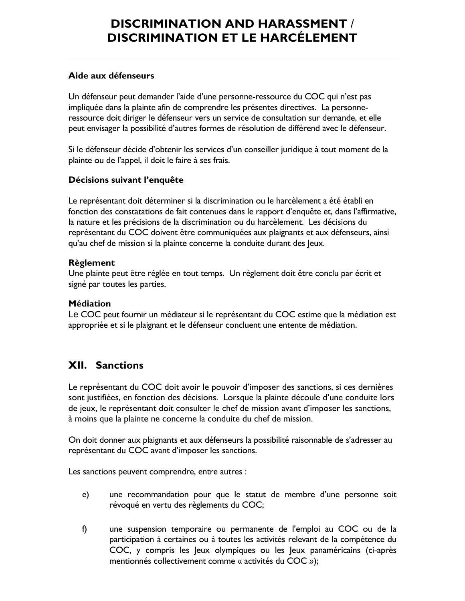#### **Aide aux défenseurs**

Un défenseur peut demander l'aide d'une personne-ressource du COC qui n'est pas impliquée dans la plainte afin de comprendre les présentes directives. La personneressource doit diriger le défenseur vers un service de consultation sur demande, et elle peut envisager la possibilité d'autres formes de résolution de différend avec le défenseur.

Si le défenseur décide d'obtenir les services d'un conseiller juridique à tout moment de la plainte ou de l'appel, il doit le faire à ses frais.

#### **Décisions suivant l'enquête**

Le représentant doit déterminer si la discrimination ou le harcèlement a été établi en fonction des constatations de fait contenues dans le rapport d'enquête et, dans l'affirmative, la nature et les précisions de la discrimination ou du harcèlement. Les décisions du représentant du COC doivent être communiquées aux plaignants et aux défenseurs, ainsi qu'au chef de mission si la plainte concerne la conduite durant des Jeux.

#### **Règlement**

Une plainte peut être réglée en tout temps. Un règlement doit être conclu par écrit et signé par toutes les parties.

#### **Médiation**

Le COC peut fournir un médiateur si le représentant du COC estime que la médiation est appropriée et si le plaignant et le défenseur concluent une entente de médiation.

### **XII. Sanctions**

Le représentant du COC doit avoir le pouvoir d'imposer des sanctions, si ces dernières sont justifiées, en fonction des décisions. Lorsque la plainte découle d'une conduite lors de jeux, le représentant doit consulter le chef de mission avant d'imposer les sanctions, à moins que la plainte ne concerne la conduite du chef de mission.

On doit donner aux plaignants et aux défenseurs la possibilité raisonnable de s'adresser au représentant du COC avant d'imposer les sanctions.

Les sanctions peuvent comprendre, entre autres :

- e) une recommandation pour que le statut de membre d'une personne soit révoqué en vertu des règlements du COC;
- f) une suspension temporaire ou permanente de l'emploi au COC ou de la participation à certaines ou à toutes les activités relevant de la compétence du COC, y compris les Jeux olympiques ou les Jeux panaméricains (ci-après mentionnés collectivement comme « activités du COC »);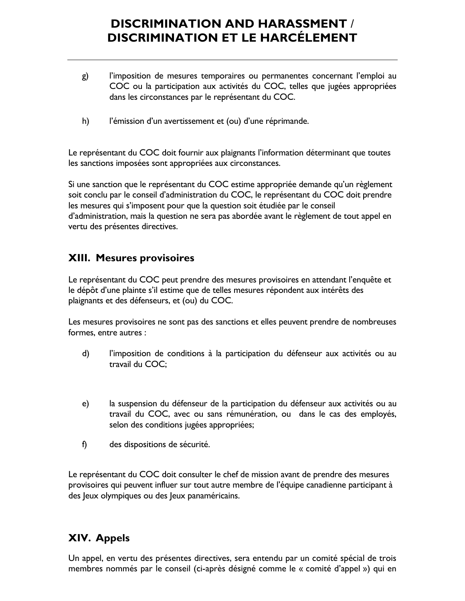- g) l'imposition de mesures temporaires ou permanentes concernant l'emploi au COC ou la participation aux activités du COC, telles que jugées appropriées dans les circonstances par le représentant du COC.
- h) l'émission d'un avertissement et (ou) d'une réprimande.

Le représentant du COC doit fournir aux plaignants l'information déterminant que toutes les sanctions imposées sont appropriées aux circonstances.

Si une sanction que le représentant du COC estime appropriée demande qu'un règlement soit conclu par le conseil d'administration du COC, le représentant du COC doit prendre les mesures qui s'imposent pour que la question soit étudiée par le conseil d'administration, mais la question ne sera pas abordée avant le règlement de tout appel en vertu des présentes directives.

### **XIII. Mesures provisoires**

Le représentant du COC peut prendre des mesures provisoires en attendant l'enquête et le dépôt d'une plainte s'il estime que de telles mesures répondent aux intérêts des plaignants et des défenseurs, et (ou) du COC.

Les mesures provisoires ne sont pas des sanctions et elles peuvent prendre de nombreuses formes, entre autres :

- d) l'imposition de conditions à la participation du défenseur aux activités ou au travail du COC;
- e) la suspension du défenseur de la participation du défenseur aux activités ou au travail du COC, avec ou sans rémunération, ou dans le cas des employés, selon des conditions jugées appropriées;
- f) des dispositions de sécurité.

Le représentant du COC doit consulter le chef de mission avant de prendre des mesures provisoires qui peuvent influer sur tout autre membre de l'équipe canadienne participant à des Jeux olympiques ou des Jeux panaméricains.

### **XIV. Appels**

Un appel, en vertu des présentes directives, sera entendu par un comité spécial de trois membres nommés par le conseil (ci-après désigné comme le « comité d'appel ») qui en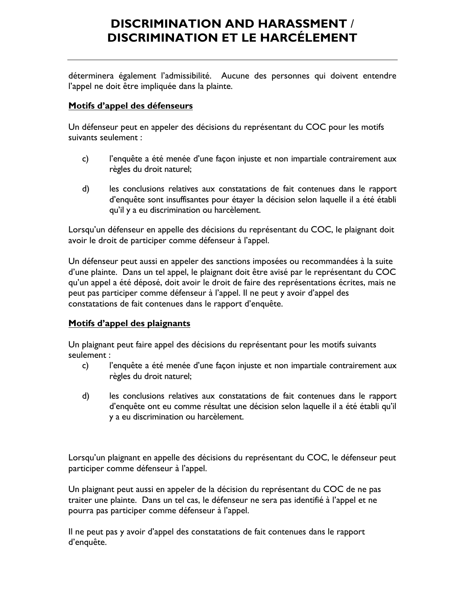déterminera également l'admissibilité. Aucune des personnes qui doivent entendre l'appel ne doit être impliquée dans la plainte.

#### **Motifs d'appel des défenseurs**

Un défenseur peut en appeler des décisions du représentant du COC pour les motifs suivants seulement :

- c) l'enquête a été menée d'une façon injuste et non impartiale contrairement aux règles du droit naturel;
- d) les conclusions relatives aux constatations de fait contenues dans le rapport d'enquête sont insuffisantes pour étayer la décision selon laquelle il a été établi qu'il y a eu discrimination ou harcèlement.

Lorsqu'un défenseur en appelle des décisions du représentant du COC, le plaignant doit avoir le droit de participer comme défenseur à l'appel.

Un défenseur peut aussi en appeler des sanctions imposées ou recommandées à la suite d'une plainte. Dans un tel appel, le plaignant doit être avisé par le représentant du COC qu'un appel a été déposé, doit avoir le droit de faire des représentations écrites, mais ne peut pas participer comme défenseur à l'appel. Il ne peut y avoir d'appel des constatations de fait contenues dans le rapport d'enquête.

#### **Motifs d'appel des plaignants**

Un plaignant peut faire appel des décisions du représentant pour les motifs suivants seulement :

- c) l'enquête a été menée d'une façon injuste et non impartiale contrairement aux règles du droit naturel;
- d) les conclusions relatives aux constatations de fait contenues dans le rapport d'enquête ont eu comme résultat une décision selon laquelle il a été établi qu'il y a eu discrimination ou harcèlement.

Lorsqu'un plaignant en appelle des décisions du représentant du COC, le défenseur peut participer comme défenseur à l'appel.

Un plaignant peut aussi en appeler de la décision du représentant du COC de ne pas traiter une plainte. Dans un tel cas, le défenseur ne sera pas identifié à l'appel et ne pourra pas participer comme défenseur à l'appel.

Il ne peut pas y avoir d'appel des constatations de fait contenues dans le rapport d'enquête.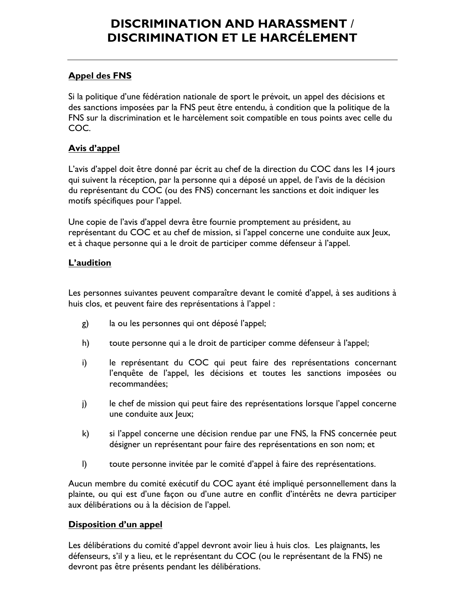### **Appel des FNS**

Si la politique d'une fédération nationale de sport le prévoit, un appel des décisions et des sanctions imposées par la FNS peut être entendu, à condition que la politique de la FNS sur la discrimination et le harcèlement soit compatible en tous points avec celle du COC.

### **Avis d'appel**

L'avis d'appel doit être donné par écrit au chef de la direction du COC dans les 14 jours qui suivent la réception, par la personne qui a déposé un appel, de l'avis de la décision du représentant du COC (ou des FNS) concernant les sanctions et doit indiquer les motifs spécifiques pour l'appel.

Une copie de l'avis d'appel devra être fournie promptement au président, au représentant du COC et au chef de mission, si l'appel concerne une conduite aux Jeux, et à chaque personne qui a le droit de participer comme défenseur à l'appel.

### **L'audition**

Les personnes suivantes peuvent comparaître devant le comité d'appel, à ses auditions à huis clos, et peuvent faire des représentations à l'appel :

- g) la ou les personnes qui ont déposé l'appel;
- h) toute personne qui a le droit de participer comme défenseur à l'appel;
- i) le représentant du COC qui peut faire des représentations concernant l'enquête de l'appel, les décisions et toutes les sanctions imposées ou recommandées;
- j) le chef de mission qui peut faire des représentations lorsque l'appel concerne une conduite aux Jeux;
- k) si l'appel concerne une décision rendue par une FNS, la FNS concernée peut désigner un représentant pour faire des représentations en son nom; et
- l) toute personne invitée par le comité d'appel à faire des représentations.

Aucun membre du comité exécutif du COC ayant été impliqué personnellement dans la plainte, ou qui est d'une façon ou d'une autre en conflit d'intérêts ne devra participer aux délibérations ou à la décision de l'appel.

#### **Disposition d'un appel**

Les délibérations du comité d'appel devront avoir lieu à huis clos. Les plaignants, les défenseurs, s'il y a lieu, et le représentant du COC (ou le représentant de la FNS) ne devront pas être présents pendant les délibérations.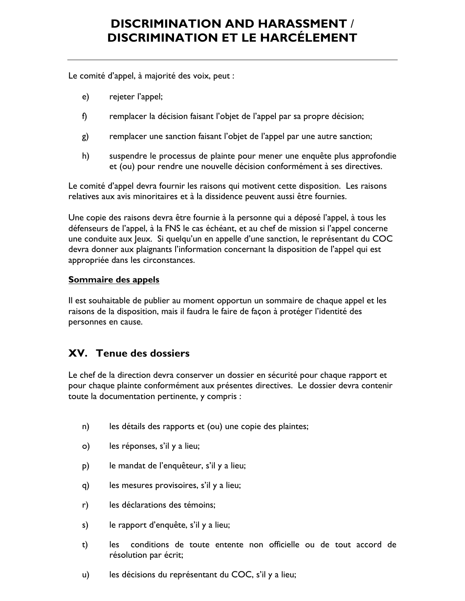Le comité d'appel, à majorité des voix, peut :

- e) rejeter l'appel;
- f) remplacer la décision faisant l'objet de l'appel par sa propre décision;
- g) remplacer une sanction faisant l'objet de l'appel par une autre sanction;
- h) suspendre le processus de plainte pour mener une enquête plus approfondie et (ou) pour rendre une nouvelle décision conformément à ses directives.

Le comité d'appel devra fournir les raisons qui motivent cette disposition. Les raisons relatives aux avis minoritaires et à la dissidence peuvent aussi être fournies.

Une copie des raisons devra être fournie à la personne qui a déposé l'appel, à tous les défenseurs de l'appel, à la FNS le cas échéant, et au chef de mission si l'appel concerne une conduite aux Jeux. Si quelqu'un en appelle d'une sanction, le représentant du COC devra donner aux plaignants l'information concernant la disposition de l'appel qui est appropriée dans les circonstances.

#### **Sommaire des appels**

Il est souhaitable de publier au moment opportun un sommaire de chaque appel et les raisons de la disposition, mais il faudra le faire de façon à protéger l'identité des personnes en cause.

### **XV. Tenue des dossiers**

Le chef de la direction devra conserver un dossier en sécurité pour chaque rapport et pour chaque plainte conformément aux présentes directives. Le dossier devra contenir toute la documentation pertinente, y compris :

- n) les détails des rapports et (ou) une copie des plaintes;
- o) les réponses, s'il y a lieu;
- p) le mandat de l'enquêteur, s'il y a lieu;
- q) les mesures provisoires, s'il y a lieu;
- r) les déclarations des témoins;
- s) le rapport d'enquête, s'il y a lieu;
- t) les conditions de toute entente non officielle ou de tout accord de résolution par écrit;
- u) les décisions du représentant du COC, s'il y a lieu;